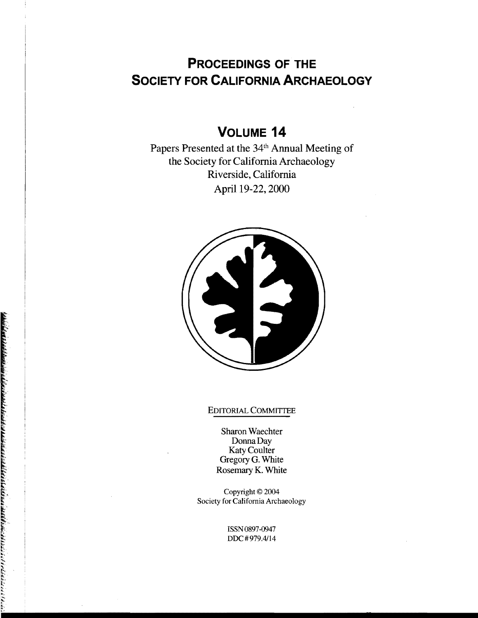# **PROCEEDINGS OF THE SOCIETY FOR CALIFORNIA ARCHAEOLOGY**

# **VOLUME 14**

Papers Presented at the 34<sup>th</sup> Annual Meeting of the Society for California Archaeology Riverside, California April 19-22, 2000



## EDITORIAL COMMITTEE

Sharon Waechter Donna Day Katy Coulter Gregory G. White Rosemary K. White

Copyright © 2004 Society for California Archaeology

> ISSN0897-0947 DDC#979.4114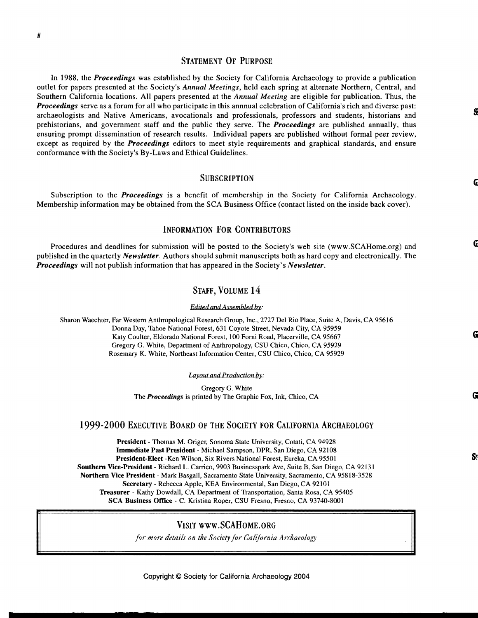# STATEMENT OF PURPOSE

In 1988, the *Proceedings* was established by the Society for California Archaeology to provide a publication outlet for papers presented at the Society's *Annual Meetings,* held each spring at alternate Northern, Central, and Southern California locations. All papers presented at the *Annual Meeting* are eligible for publication. Thus, the *Proceedings* serve as a forum for all who participate in this annnual celebration of California's rich and diverse past: archaeologists and Native Americans, avocationals and professionals, professors and students, historians and prehistorians, and government staff and the public they serve. The *Proceedings* are published annually, thus ensuring prompt dissemination of research results. Individual papers are published without formal peer review, except as required by the *Proceedings* editors to meet style requirements and graphical standards, and ensure conformance with the Society's By-Laws and Ethical Guidelines.

#### **SUBSCRIPTION**

Subscription to the *Proceedings* is a benefit of membership in the Society for California Archaeology. Membership information may be obtained from the SCA Business Office (contact listed on the inside back cover).

### INFORMATION FOR CONTRIBUTORS

Procedures and deadlines for submission will be posted to the Society's web site (www.SCAHome.org) and published in the quarterly *Newsletter.* Authors should submit manuscripts both as hard copy and electronically. The *Proceedings* will not publish information that has appeared in the Society's *Newsletter.* 

# STAFF, VOLUME 14

#### *Edited and Assembled by:*

Sharon Waechter, Far Western Anthropological Research Group, Inc., 2727 Del Rio Place, Suite A, Davis, CA 95616 Donna Day, Tahoe National Forest, 631 Coyote Street, Nevada City, CA 95959 Katy Coulter, Eldorado National Forest, 100 Forni Road, Placerville, CA 95667 Gregory G. White, Department of Anthropology, CSU Chico, Chico, CA 95929 Rosemary K. White, Northeast Information Center, CSU Chico, Chico, CA 95929

*Layout and Production by:* 

Gregory G. White The *Proceedings* is printed by The Graphic Fox, Ink, Chico, CA

### 1999-2000 EXECUTIVE BOARD OF THE SOCIETY FOR CALIFORNIA ARCHAEOLOGY

President - Thomas M. Origer, Sonoma State University, Cotati, CA 94928 Immediate Past President - Michael Sampson, DPR, San Diego, CA 92108 President-Elect -Ken Wilson, Six Rivers National Forest, Eureka, CA 95501 Southern Vice-President - Richard L. Carrico, 9903 Businesspark Ave, Suite B, San Diego, CA 92131 Northern Vice President - Mark Basgall, Sacramento State University, Sacramento, CA 95818-3528 Secretary - Rebecca Apple, KEA Environmental, San Diego, CA 92101 Treasurer - Kathy Dowdall, CA Department of Transportation, Santa Rosa, CA 95405 SCA Business Office - C. Kristina Roper, CSU Fresno, Fresno, CA 93740-8001

### VISIT www.SCAHoME.ORG

*for more details on the Society for California Archaeology*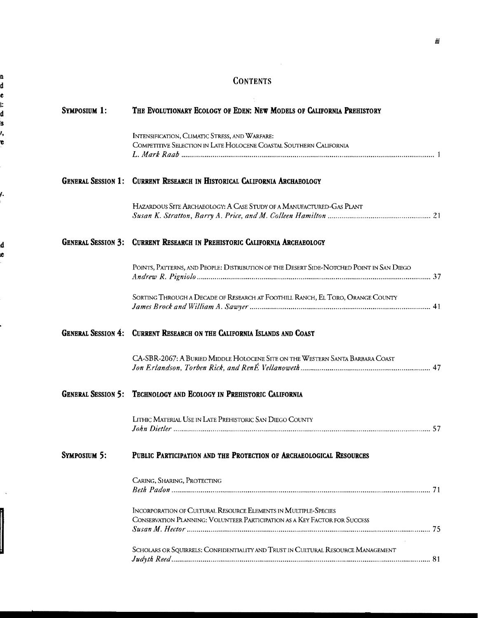# **CONTENTS**

| <b>SYMPOSIUM 1:</b> | THE EVOLUTIONARY ECOLOGY OF EDEN: NEW MODELS OF CALIFORNIA PREHISTORY                                                                         |  |
|---------------------|-----------------------------------------------------------------------------------------------------------------------------------------------|--|
|                     | INTENSIFICATION, CLIMATIC STRESS, AND WARFARE:<br>COMPETITIVE SELECTION IN LATE HOLOCENE COASTAL SOUTHERN CALIFORNIA                          |  |
|                     | <b>GENERAL SESSION 1: CURRENT RESEARCH IN HISTORICAL CALIFORNIA ARCHAEOLOGY</b>                                                               |  |
|                     | HAZARDOUS SITE ARCHAEOLOGY: A CASE STUDY OF A MANUFACTURED-GAS PLANT                                                                          |  |
|                     | <b>GENERAL SESSION 3: CURRENT RESEARCH IN PREHISTORIC CALIFORNIA ARCHAEOLOGY</b>                                                              |  |
|                     | POINTS, PATTERNS, AND PEOPLE: DISTRIBUTION OF THE DESERT SIDE-NOTCHED POINT IN SAN DIEGO                                                      |  |
|                     | SORTING THROUGH A DECADE OF RESEARCH AT FOOTHILL RANCH, EL TORO, ORANGE COUNTY                                                                |  |
|                     | <b>GENERAL SESSION 4: CURRENT RESEARCH ON THE CALIFORNIA ISLANDS AND COAST</b>                                                                |  |
|                     | CA-SBR-2067: A BURIED MIDDLE HOLOCENE SITE ON THE WESTERN SANTA BARBARA COAST                                                                 |  |
|                     | <b>GENERAL SESSION 5: TECHNOLOGY AND ECOLOGY IN PREHISTORIC CALIFORNIA</b>                                                                    |  |
|                     | LITHIC MATERIAL USE IN LATE PREHISTORIC SAN DIEGO COUNTY                                                                                      |  |
| <b>SYMPOSIUM 5:</b> | PUBLIC PARTICIPATION AND THE PROTECTION OF ARCHAEOLOGICAL RESOURCES                                                                           |  |
|                     | CARING, SHARING, PROTECTING                                                                                                                   |  |
|                     | INCORPORATION OF CULTURAL RESOURCE ELEMENTS IN MULTIPLE-SPECIES<br>CONSERVATION PLANNING: VOLUNTEER PARTICIPATION AS A KEY FACTOR FOR SUCCESS |  |
|                     | SCHOLARS OR SQUIRRELS: CONFIDENTIALITY AND TRUST IN CULTURAL RESOURCE MANAGEMENT                                                              |  |